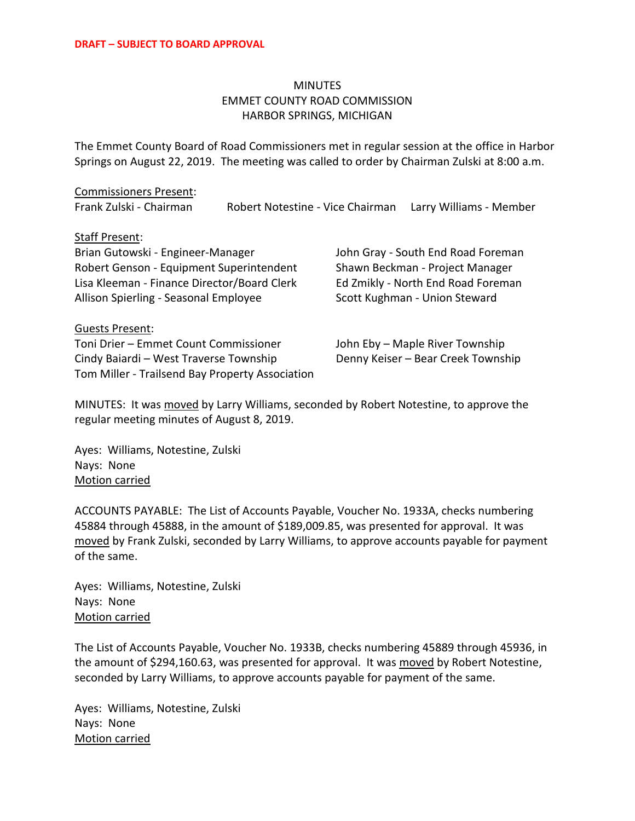### **MINUTES** EMMET COUNTY ROAD COMMISSION HARBOR SPRINGS, MICHIGAN

The Emmet County Board of Road Commissioners met in regular session at the office in Harbor Springs on August 22, 2019. The meeting was called to order by Chairman Zulski at 8:00 a.m.

## Commissioners Present:

Frank Zulski - Chairman Robert Notestine - Vice Chairman Larry Williams - Member

#### Staff Present:

Brian Gutowski - Engineer-Manager John Gray - South End Road Foreman Robert Genson - Equipment Superintendent Shawn Beckman - Project Manager Lisa Kleeman - Finance Director/Board Clerk Ed Zmikly - North End Road Foreman Allison Spierling - Seasonal Employee Scott Kughman - Union Steward

Guests Present: Toni Drier – Emmet Count Commissioner John Eby – Maple River Township Cindy Baiardi – West Traverse Township Denny Keiser – Bear Creek Township Tom Miller - Trailsend Bay Property Association

MINUTES: It was moved by Larry Williams, seconded by Robert Notestine, to approve the regular meeting minutes of August 8, 2019.

Ayes: Williams, Notestine, Zulski Nays: None Motion carried

ACCOUNTS PAYABLE: The List of Accounts Payable, Voucher No. 1933A, checks numbering 45884 through 45888, in the amount of \$189,009.85, was presented for approval. It was moved by Frank Zulski, seconded by Larry Williams, to approve accounts payable for payment of the same.

Ayes: Williams, Notestine, Zulski Nays: None Motion carried

The List of Accounts Payable, Voucher No. 1933B, checks numbering 45889 through 45936, in the amount of \$294,160.63, was presented for approval. It was moved by Robert Notestine, seconded by Larry Williams, to approve accounts payable for payment of the same.

Ayes: Williams, Notestine, Zulski Nays: None Motion carried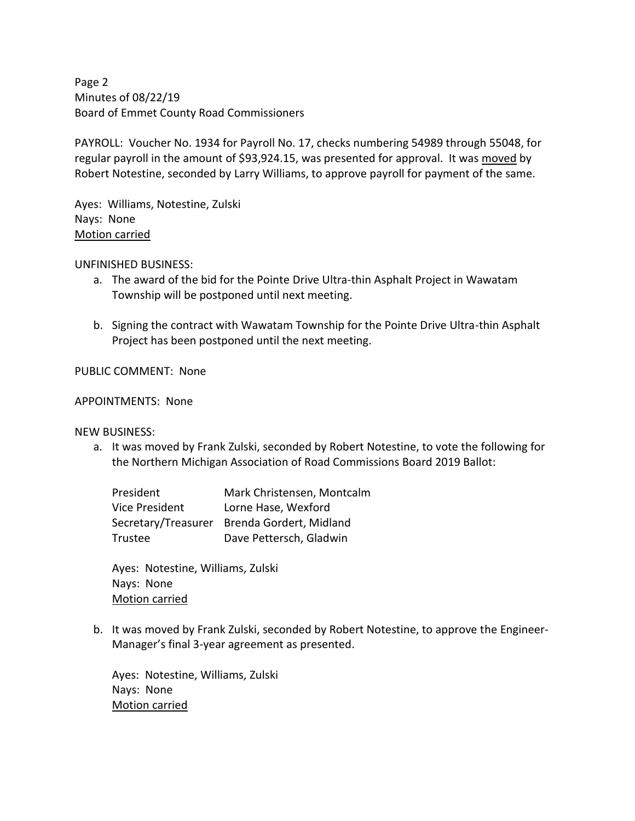Page 2 Minutes of 08/22/19 Board of Emmet County Road Commissioners

PAYROLL: Voucher No. 1934 for Payroll No. 17, checks numbering 54989 through 55048, for regular payroll in the amount of \$93,924.15, was presented for approval. It was moved by Robert Notestine, seconded by Larry Williams, to approve payroll for payment of the same.

Ayes: Williams, Notestine, Zulski Nays: None Motion carried

UNFINISHED BUSINESS:

- a. The award of the bid for the Pointe Drive Ultra-thin Asphalt Project in Wawatam Township will be postponed until next meeting.
- b. Signing the contract with Wawatam Township for the Pointe Drive Ultra-thin Asphalt Project has been postponed until the next meeting.

PUBLIC COMMENT: None

#### APPOINTMENTS: None

NEW BUSINESS:

a. It was moved by Frank Zulski, seconded by Robert Notestine, to vote the following for the Northern Michigan Association of Road Commissions Board 2019 Ballot:

President Mark Christensen, Montcalm Vice President Lorne Hase, Wexford Secretary/Treasurer Brenda Gordert, Midland Trustee Dave Pettersch, Gladwin

Ayes: Notestine, Williams, Zulski Nays: None Motion carried

b. It was moved by Frank Zulski, seconded by Robert Notestine, to approve the Engineer-Manager's final 3-year agreement as presented.

Ayes: Notestine, Williams, Zulski Nays: None Motion carried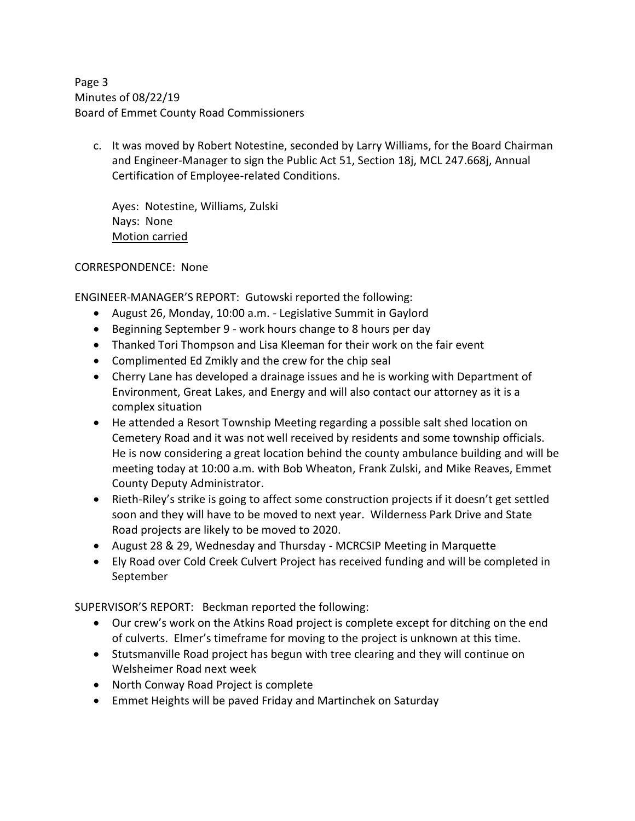Page 3 Minutes of 08/22/19 Board of Emmet County Road Commissioners

c. It was moved by Robert Notestine, seconded by Larry Williams, for the Board Chairman and Engineer-Manager to sign the Public Act 51, Section 18j, MCL 247.668j, Annual Certification of Employee-related Conditions.

Ayes: Notestine, Williams, Zulski Nays: None Motion carried

CORRESPONDENCE: None

ENGINEER-MANAGER'S REPORT: Gutowski reported the following:

- August 26, Monday, 10:00 a.m. Legislative Summit in Gaylord
- Beginning September 9 work hours change to 8 hours per day
- Thanked Tori Thompson and Lisa Kleeman for their work on the fair event
- Complimented Ed Zmikly and the crew for the chip seal
- Cherry Lane has developed a drainage issues and he is working with Department of Environment, Great Lakes, and Energy and will also contact our attorney as it is a complex situation
- He attended a Resort Township Meeting regarding a possible salt shed location on Cemetery Road and it was not well received by residents and some township officials. He is now considering a great location behind the county ambulance building and will be meeting today at 10:00 a.m. with Bob Wheaton, Frank Zulski, and Mike Reaves, Emmet County Deputy Administrator.
- Rieth-Riley's strike is going to affect some construction projects if it doesn't get settled soon and they will have to be moved to next year. Wilderness Park Drive and State Road projects are likely to be moved to 2020.
- August 28 & 29, Wednesday and Thursday MCRCSIP Meeting in Marquette
- Ely Road over Cold Creek Culvert Project has received funding and will be completed in September

SUPERVISOR'S REPORT: Beckman reported the following:

- Our crew's work on the Atkins Road project is complete except for ditching on the end of culverts. Elmer's timeframe for moving to the project is unknown at this time.
- Stutsmanville Road project has begun with tree clearing and they will continue on Welsheimer Road next week
- North Conway Road Project is complete
- Emmet Heights will be paved Friday and Martinchek on Saturday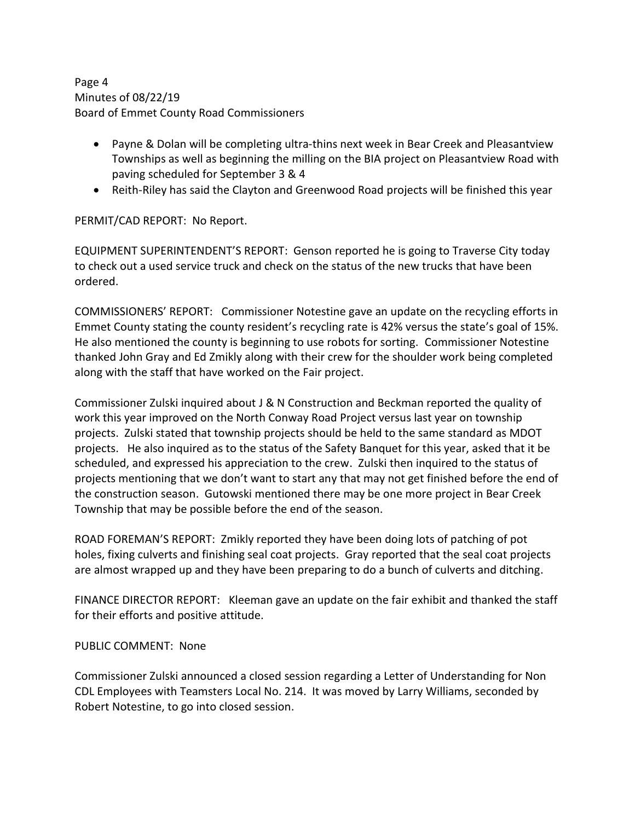Page 4 Minutes of 08/22/19 Board of Emmet County Road Commissioners

- Payne & Dolan will be completing ultra-thins next week in Bear Creek and Pleasantview Townships as well as beginning the milling on the BIA project on Pleasantview Road with paving scheduled for September 3 & 4
- Reith-Riley has said the Clayton and Greenwood Road projects will be finished this year

PERMIT/CAD REPORT: No Report.

EQUIPMENT SUPERINTENDENT'S REPORT: Genson reported he is going to Traverse City today to check out a used service truck and check on the status of the new trucks that have been ordered.

COMMISSIONERS' REPORT: Commissioner Notestine gave an update on the recycling efforts in Emmet County stating the county resident's recycling rate is 42% versus the state's goal of 15%. He also mentioned the county is beginning to use robots for sorting. Commissioner Notestine thanked John Gray and Ed Zmikly along with their crew for the shoulder work being completed along with the staff that have worked on the Fair project.

Commissioner Zulski inquired about J & N Construction and Beckman reported the quality of work this year improved on the North Conway Road Project versus last year on township projects. Zulski stated that township projects should be held to the same standard as MDOT projects. He also inquired as to the status of the Safety Banquet for this year, asked that it be scheduled, and expressed his appreciation to the crew. Zulski then inquired to the status of projects mentioning that we don't want to start any that may not get finished before the end of the construction season. Gutowski mentioned there may be one more project in Bear Creek Township that may be possible before the end of the season.

ROAD FOREMAN'S REPORT: Zmikly reported they have been doing lots of patching of pot holes, fixing culverts and finishing seal coat projects. Gray reported that the seal coat projects are almost wrapped up and they have been preparing to do a bunch of culverts and ditching.

FINANCE DIRECTOR REPORT: Kleeman gave an update on the fair exhibit and thanked the staff for their efforts and positive attitude.

#### PUBLIC COMMENT: None

Commissioner Zulski announced a closed session regarding a Letter of Understanding for Non CDL Employees with Teamsters Local No. 214. It was moved by Larry Williams, seconded by Robert Notestine, to go into closed session.